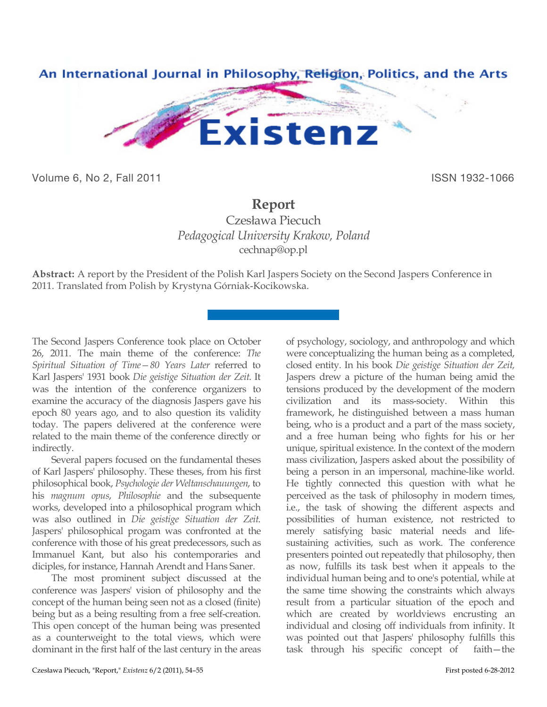

Volume 6, No 2, Fall 2011 **ISSN 1932-1066** 

## **Report**

Czesława Piecuch *Pedagogical University Krakow, Poland* cechnap@op.pl

**Abstract:** A report by the President of the Polish Karl Jaspers Society on the Second Jaspers Conference in 2011. Translated from Polish by Krystyna Górniak-Kocikowska.

The Second Jaspers Conference took place on October 26, 2011. The main theme of the conference: *The Spiritual Situation of Time—80 Years Later* referred to Karl Jaspers' 1931 book *Die geistige Situation der Zeit*. It was the intention of the conference organizers to examine the accuracy of the diagnosis Jaspers gave his epoch 80 years ago, and to also question its validity today. The papers delivered at the conference were related to the main theme of the conference directly or indirectly.

Several papers focused on the fundamental theses of Karl Jaspers' philosophy. These theses, from his first philosophical book, *Psychologie der Weltanschauungen*, to his *magnum opus*, *Philosophie* and the subsequente works, developed into a philosophical program which was also outlined in *Die geistige Situation der Zeit*. Jaspers' philosophical progam was confronted at the conference with those of his great predecessors, such as Immanuel Kant, but also his contemporaries and diciples, for instance, Hannah Arendt and Hans Saner.

The most prominent subject discussed at the conference was Jaspers' vision of philosophy and the concept of the human being seen not as a closed (finite) being but as a being resulting from a free self-creation. This open concept of the human being was presented as a counterweight to the total views, which were dominant in the first half of the last century in the areas of psychology, sociology, and anthropology and which were conceptualizing the human being as a completed, closed entity. In his book *Die geistige Situation der Zeit,* Jaspers drew a picture of the human being amid the tensions produced by the development of the modern civilization and its mass-society. Within this framework, he distinguished between a mass human being, who is a product and a part of the mass society, and a free human being who fights for his or her unique, spiritual existence. In the context of the modern mass civilization, Jaspers asked about the possibility of being a person in an impersonal, machine-like world. He tightly connected this question with what he perceived as the task of philosophy in modern times, i.e., the task of showing the different aspects and possibilities of human existence, not restricted to merely satisfying basic material needs and lifesustaining activities, such as work. The conference presenters pointed out repeatedly that philosophy, then as now, fulfills its task best when it appeals to the individual human being and to one's potential, while at the same time showing the constraints which always result from a particular situation of the epoch and which are created by worldviews encrusting an individual and closing off individuals from infinity. It was pointed out that Jaspers' philosophy fulfills this task through his specific concept of faith—the